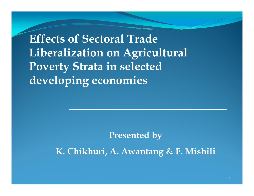**Eff t f S t l T d Effecsof Sectoral TraeLiberalization on Agricultural Poverty Strata in selected develo p g in g economies** 

**Presented by** 

**K. Chikhuri, A. Awantang & F. Mishili**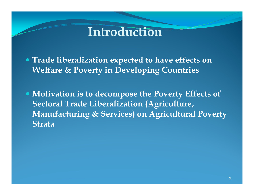## **Int oduct <sup>o</sup> roduction**

 **Trade liberalization expected to have effects on Welfare & Poverty in Developing Countries**

 **Motivation is to decompose the Poverty Effects of Sectoral Trade Liberalization (Agriculture, Manufacturing & Services) on Agricultural Poverty Strata**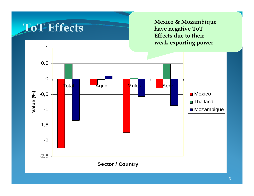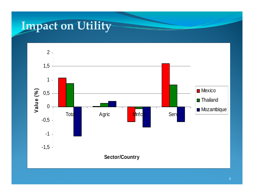## **Impact on Utility**

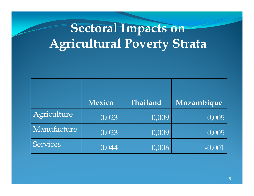# **Sectoral Impacts on Agricultural Poverty Strata**

|             | <b>Mexico</b>      | Thailand | Mozambique |
|-------------|--------------------|----------|------------|
| Agriculture | 0,023              | 0,009    | 0,005      |
| Manufacture | 0,023              | 0,009    | 0,005      |
| Services    | $\overline{0.044}$ | 0,006    | $-0,001$   |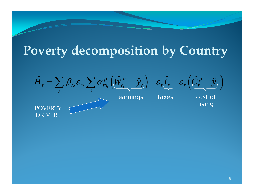## **Poverty decomposition by Country**

 $\Big($  $\bigg)$  $\Big($  $\hat{H}_r = \sum \beta_{rs} \varepsilon_{rs} \sum \alpha_{rsj}^{\ p} \left( \hat{W}^m_{rj} - \hat{{\textnormal{y}}}_{r} \right) + \varepsilon_r \hat{T}_r - \varepsilon_r \left( \hat{C}^{\ p}_r - \hat{{\textnormal{y}}}_r \right)$  $\hat{H}_r = \sum \beta_{rs} \varepsilon_{rs} \sum \alpha_{rsj}^p \left( \hat{W}^m_{rj} - \hat{{\rm y}}_{r} \right) + \varepsilon_r \hat{T}_r - \varepsilon_r \left( \hat{C}_r^p - \hat{{\rm y}}_{r} \right)$ *<sup>s</sup> j* earnings taxes cost of

living

**POVERTY** DRIVERS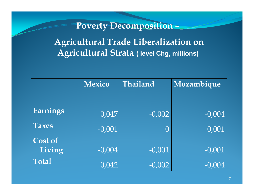#### **Poverty Decomposition –**

**Agricultural Trade Liberalization on Agricultural Strata ( level Chg, millions)**

|                   | <b>Mexico</b> | Thailand  | Mozambique |
|-------------------|---------------|-----------|------------|
| Earnings          | 0,047         | $-0,002$  | $-0,004$   |
| <b>Taxes</b>      | $-0,001$      | $\bigcap$ | 0,001      |
| Cost of<br>Living | $-0,004$      | $-0,001$  | $-0,001$   |
| <b>Total</b>      | 0,042         | $-0,002$  | $-0,004$   |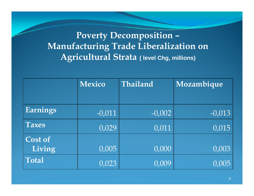**Poverty Decomposition – Manufacturing Trade Liberalization on**   $A$ gricultural Strata (level Chg, millions)

|                | <b>Mexico</b> | Thailand | Mozambique |
|----------------|---------------|----------|------------|
|                |               |          |            |
| Earnings       | $-0,011$      | $-0,002$ | $-0,013$   |
| <b>Taxes</b>   | 0,029         | 0,011    | 0,015      |
| <b>Cost of</b> |               |          |            |
| Living         | 0,005         | 0,000    | 0,003      |
| <b>Total</b>   | 0,023         | 0,009    | 0,005      |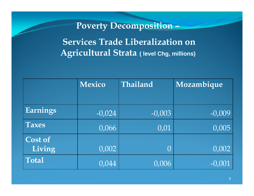#### **Poverty Decomposition –**

**Services Trade Liberalization on Agricultural Strata ( level Chg, millions)**

|                          | <b>Mexico</b> | Thailand         | Mozambique |  |
|--------------------------|---------------|------------------|------------|--|
|                          |               |                  |            |  |
| Earnings                 | $-0,024$      | $-0,003$         | $-0,009$   |  |
| <b>Taxes</b>             | 0,066         | 0,01             | 0,005      |  |
| <b>Cost of</b><br>Living | 0,002         | $\left( \right)$ | 0,002      |  |
| <b>Total</b>             | 0,044         | 0,006            | $-0,001$   |  |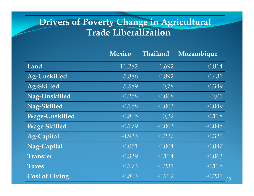### **Drivers of Poverty Change in Agricultural Trade Liberalization**

|                       | <b>Mexico</b> | Thailand | Mozambique |
|-----------------------|---------------|----------|------------|
| Land                  | $-11,282$     | 1,692    | 0,814      |
| <b>Ag-Unskilled</b>   | $-5,886$      | 0,892    | 0,431      |
| <b>Ag-Skilled</b>     | $-5,589$      | 0,78     | 0,349      |
| Nag-Unskilled         | $-0,258$      | 0,068    | $-0,01$    |
| Nag-Skilled           | $-0,158$      | $-0,003$ | $-0,049$   |
| <b>Wage-Unskilled</b> | $-0,805$      | 0,22     | 0,118      |
| <b>Wage Skilled</b>   | $-0,179$      | $-0,003$ | $-0,045$   |
| <b>Ag-Capital</b>     | $-4,933$      | 0,227    | 0,321      |
| Nag-Capital           | $-0,051$      | 0,004    | $-0,047$   |
| <b>Transfer</b>       | $-0,339$      | $-0,114$ | $-0,063$   |
| <b>Taxes</b>          | 0,173         | $-0,231$ | $-0,115$   |
| <b>Cost of Living</b> | $-0,813$      | $-0,712$ | $-0,231$   |

10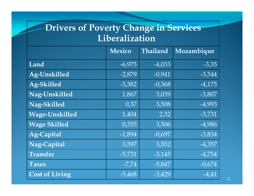### **Drivers of Poverty Change in Services Lib li ti Liberalization**

|                       | <b>Mexico</b> | Thailand | Mozambique |
|-----------------------|---------------|----------|------------|
| Land                  | $-6,975$      | $-4,033$ | $-3,35$    |
| <b>Ag-Unskilled</b>   | $-2,879$      | $-0,941$ | $-3,544$   |
| Ag-Skilled            | $-3,382$      | $-0,368$ | $-4,175$   |
| Nag-Unskilled         | 1,867         | 3,039    | $-3,807$   |
| Nag-Skilled           | 0,37          | 3,508    | $-4,993$   |
| <b>Wage-Unskilled</b> | 1,404         | 2,32     | $-3,731$   |
| <b>Wage Skilled</b>   | 0,355         | 3,506    | $-4,986$   |
| <b>Ag-Capital</b>     | $-1,894$      | $-0,697$ | $-3,834$   |
| Nag-Capital           | 3,597         | 3,552    | $-4,357$   |
| <b>Transfer</b>       | $-5,731$      | $-3,145$ | $-4,754$   |
| <b>Taxes</b>          | $-7,74$       | $-5,847$ | $-0,674$   |
| <b>Cost of Living</b> | $-5,468$      | $-3,429$ | $-4,41$    |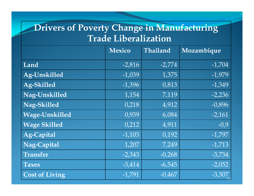### **Drivers of Poverty Change in Manufacturing T d Lib li ti Tra e Liberalization**

|                       | <b>Mexico</b> | Thailand | Mozambique |
|-----------------------|---------------|----------|------------|
| Land                  | $-2,816$      | $-2,774$ | $-1,704$   |
| <b>Ag-Unskilled</b>   | $-1,039$      | 1,375    | $-1,979$   |
| <b>Ag-Skilled</b>     | $-1,396$      | 0,813    | $-1,349$   |
| Nag-Unskilled         | 1,154         | 7,119    | $-2,236$   |
| Nag-Skilled           | 0,218         | 4,912    | $-0,896$   |
| <b>Wage-Unskilled</b> | 0,939         | 6,084    | $-2,161$   |
| <b>Wage Skilled</b>   | 0,212         | 4,911    | $-0,9$     |
| <b>Ag-Capital</b>     | $-1,103$      | 0,192    | $-1,797$   |
| Nag-Capital           | 1,207         | 7,249    | $-1,713$   |
| <b>Transfer</b>       | $-2,343$      | $-0,268$ | $-3,734$   |
| <b>Taxes</b>          | $-3,414$      | $-6,545$ | $-2,052$   |
| <b>Cost of Living</b> | $-1,791$      | $-0,467$ | $-3,307$   |